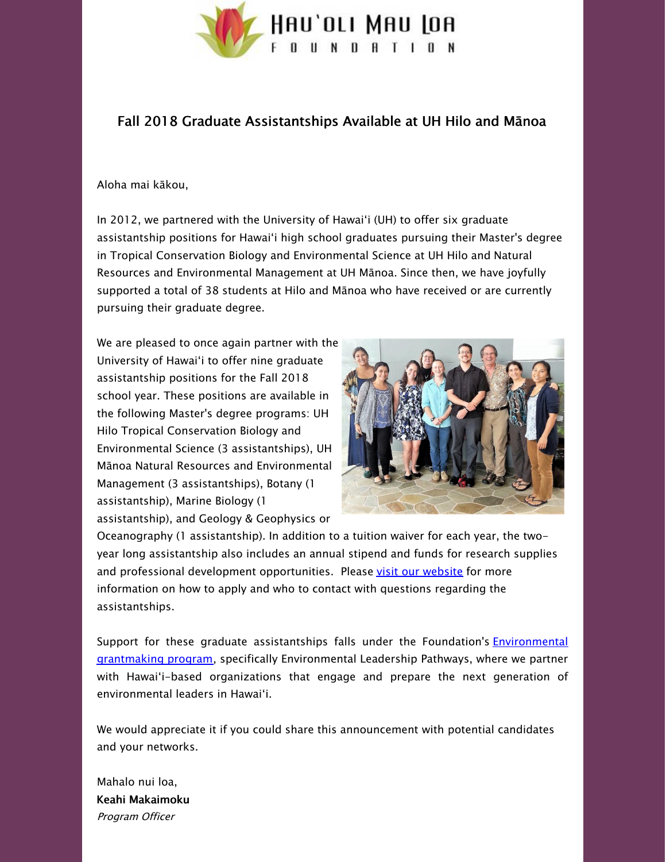

## Fall 2018 Graduate Assistantships Available at UH Hilo and Mānoa

## Aloha mai kākou,

In 2012, we partnered with the University of Hawaiʻi (UH) to offer six graduate assistantship positions for Hawaiʻi high school graduates pursuing their Master's degree in Tropical Conservation Biology and Environmental Science at UH Hilo and Natural Resources and Environmental Management at UH Mānoa. Since then, we have joyfully supported a total of 38 students at Hilo and Mānoa who have received or are currently pursuing their graduate degree.

We are pleased to once again partner with the University of Hawaiʻi to offer nine graduate assistantship positions for the Fall 2018 school year. These positions are available in the following Master's degree programs: UH Hilo Tropical Conservation Biology and Environmental Science (3 assistantships), UH Mānoa Natural Resources and Environmental Management (3 assistantships), Botany (1 assistantship), Marine Biology (1 assistantship), and Geology & Geophysics or



Oceanography (1 assistantship). In addition to a tuition waiver for each year, the twoyear long assistantship also includes an annual stipend and funds for research supplies and professional development opportunities. Please visit our [website](http://hauolimauloa.org/fall-2018-graduate-assistantships-available-at-uh-hilo-and-manoa/?utm_source=15.+Fall+2018+Graduate+Assistantships+Available+at+UH+Hilo+and+Manoa+%28Dec.+2017%29&utm_campaign=Fall+2018+Graduate+Assistantships+Available+at+UH+Hilo+and+Manoa+%28Dec.+2017%29&utm_medium=email) for more information on how to apply and who to contact with questions regarding the assistantships.

Support for these graduate assistantships falls under the Foundation's **Environmental** grantmaking program, specifically [Environmental](http://hauolimauloa.org/program/environment/?utm_source=15.+Fall+2018+Graduate+Assistantships+Available+at+UH+Hilo+and+Manoa+%28Dec.+2017%29&utm_campaign=Fall+2018+Graduate+Assistantships+Available+at+UH+Hilo+and+Manoa+%28Dec.+2017%29&utm_medium=email) Leadership Pathways, where we partner with Hawaiʻi-based organizations that engage and prepare the next generation of environmental leaders in Hawaiʻi.

We would appreciate it if you could share this announcement with potential candidates and your networks.

Mahalo nui loa, Keahi Makaimoku Program Officer